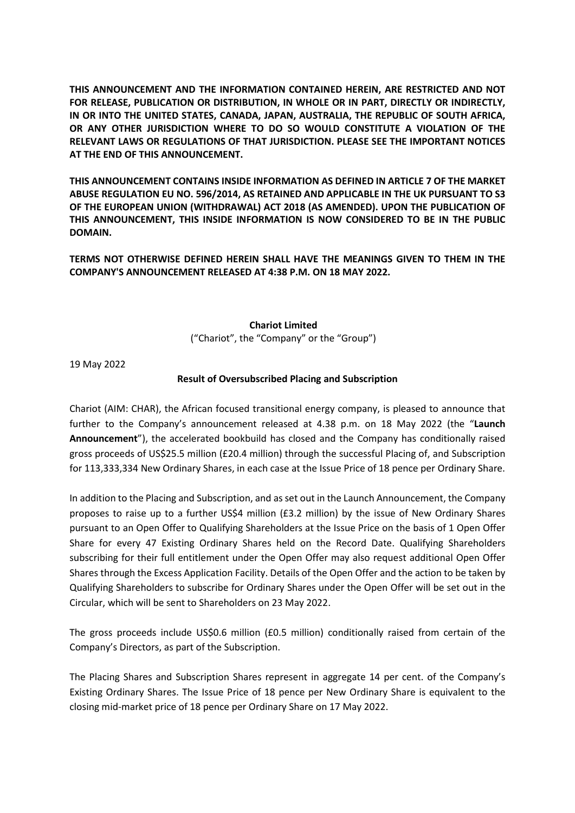**THIS ANNOUNCEMENT AND THE INFORMATION CONTAINED HEREIN, ARE RESTRICTED AND NOT FOR RELEASE, PUBLICATION OR DISTRIBUTION, IN WHOLE OR IN PART, DIRECTLY OR INDIRECTLY, IN OR INTO THE UNITED STATES, CANADA, JAPAN, AUSTRALIA, THE REPUBLIC OF SOUTH AFRICA, OR ANY OTHER JURISDICTION WHERE TO DO SO WOULD CONSTITUTE A VIOLATION OF THE RELEVANT LAWS OR REGULATIONS OF THAT JURISDICTION. PLEASE SEE THE IMPORTANT NOTICES AT THE END OF THIS ANNOUNCEMENT.**

**THIS ANNOUNCEMENT CONTAINS INSIDE INFORMATION AS DEFINED IN ARTICLE 7 OF THE MARKET ABUSE REGULATION EU NO. 596/2014, AS RETAINED AND APPLICABLE IN THE UK PURSUANT TO S3 OF THE EUROPEAN UNION (WITHDRAWAL) ACT 2018 (AS AMENDED). UPON THE PUBLICATION OF THIS ANNOUNCEMENT, THIS INSIDE INFORMATION IS NOW CONSIDERED TO BE IN THE PUBLIC DOMAIN.**

**TERMS NOT OTHERWISE DEFINED HEREIN SHALL HAVE THE MEANINGS GIVEN TO THEM IN THE COMPANY'S ANNOUNCEMENT RELEASED AT 4:38 P.M. ON 18 MAY 2022.**

### **Chariot Limited**

("Chariot", the "Company" or the "Group")

19 May 2022

# **Result of Oversubscribed Placing and Subscription**

Chariot (AIM: CHAR), the African focused transitional energy company, is pleased to announce that further to the Company's announcement released at 4.38 p.m. on 18 May 2022 (the "**Launch Announcement**"), the accelerated bookbuild has closed and the Company has conditionally raised gross proceeds of US\$25.5 million (£20.4 million) through the successful Placing of, and Subscription for 113,333,334 New Ordinary Shares, in each case at the Issue Price of 18 pence per Ordinary Share.

In addition to the Placing and Subscription, and as set out in the Launch Announcement, the Company proposes to raise up to a further US\$4 million (£3.2 million) by the issue of New Ordinary Shares pursuant to an Open Offer to Qualifying Shareholders at the Issue Price on the basis of 1 Open Offer Share for every 47 Existing Ordinary Shares held on the Record Date. Qualifying Shareholders subscribing for their full entitlement under the Open Offer may also request additional Open Offer Shares through the Excess Application Facility. Details of the Open Offer and the action to be taken by Qualifying Shareholders to subscribe for Ordinary Shares under the Open Offer will be set out in the Circular, which will be sent to Shareholders on 23 May 2022.

The gross proceeds include US\$0.6 million (£0.5 million) conditionally raised from certain of the Company's Directors, as part of the Subscription.

The Placing Shares and Subscription Shares represent in aggregate 14 per cent. of the Company's Existing Ordinary Shares. The Issue Price of 18 pence per New Ordinary Share is equivalent to the closing mid-market price of 18 pence per Ordinary Share on 17 May 2022.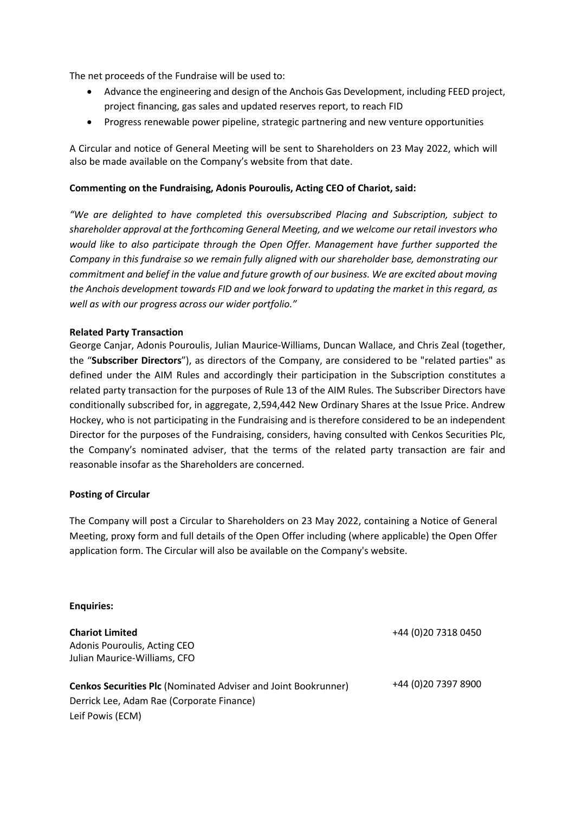The net proceeds of the Fundraise will be used to:

- Advance the engineering and design of the Anchois Gas Development, including FEED project, project financing, gas sales and updated reserves report, to reach FID
- Progress renewable power pipeline, strategic partnering and new venture opportunities

A Circular and notice of General Meeting will be sent to Shareholders on 23 May 2022, which will also be made available on the Company's website from that date.

## **Commenting on the Fundraising, Adonis Pouroulis, Acting CEO of Chariot, said:**

*"We are delighted to have completed this oversubscribed Placing and Subscription, subject to shareholder approval at the forthcoming General Meeting, and we welcome our retail investors who would like to also participate through the Open Offer. Management have further supported the Company in this fundraise so we remain fully aligned with our shareholder base, demonstrating our commitment and belief in the value and future growth of our business. We are excited about moving the Anchois development towards FID and we look forward to updating the market in this regard, as well as with our progress across our wider portfolio."*

### **Related Party Transaction**

George Canjar, Adonis Pouroulis, Julian Maurice-Williams, Duncan Wallace, and Chris Zeal (together, the "**Subscriber Directors**"), as directors of the Company, are considered to be "related parties" as defined under the AIM Rules and accordingly their participation in the Subscription constitutes a related party transaction for the purposes of Rule 13 of the AIM Rules. The Subscriber Directors have conditionally subscribed for, in aggregate, 2,594,442 New Ordinary Shares at the Issue Price. Andrew Hockey, who is not participating in the Fundraising and is therefore considered to be an independent Director for the purposes of the Fundraising, considers, having consulted with Cenkos Securities Plc, the Company's nominated adviser, that the terms of the related party transaction are fair and reasonable insofar as the Shareholders are concerned.

### **Posting of Circular**

The Company will post a Circular to Shareholders on 23 May 2022, containing a Notice of General Meeting, proxy form and full details of the Open Offer including (where applicable) the Open Offer application form. The Circular will also be available on the Company's website.

### **Enquiries:**

| <b>Chariot Limited</b><br>Adonis Pouroulis, Acting CEO<br>Julian Maurice-Williams, CFO | +44 (0)20 7318 0450 |
|----------------------------------------------------------------------------------------|---------------------|
| <b>Cenkos Securities Plc (Nominated Adviser and Joint Bookrunner)</b>                  | +44 (0)20 7397 8900 |
| Derrick Lee, Adam Rae (Corporate Finance)                                              |                     |
| Leif Powis (ECM)                                                                       |                     |